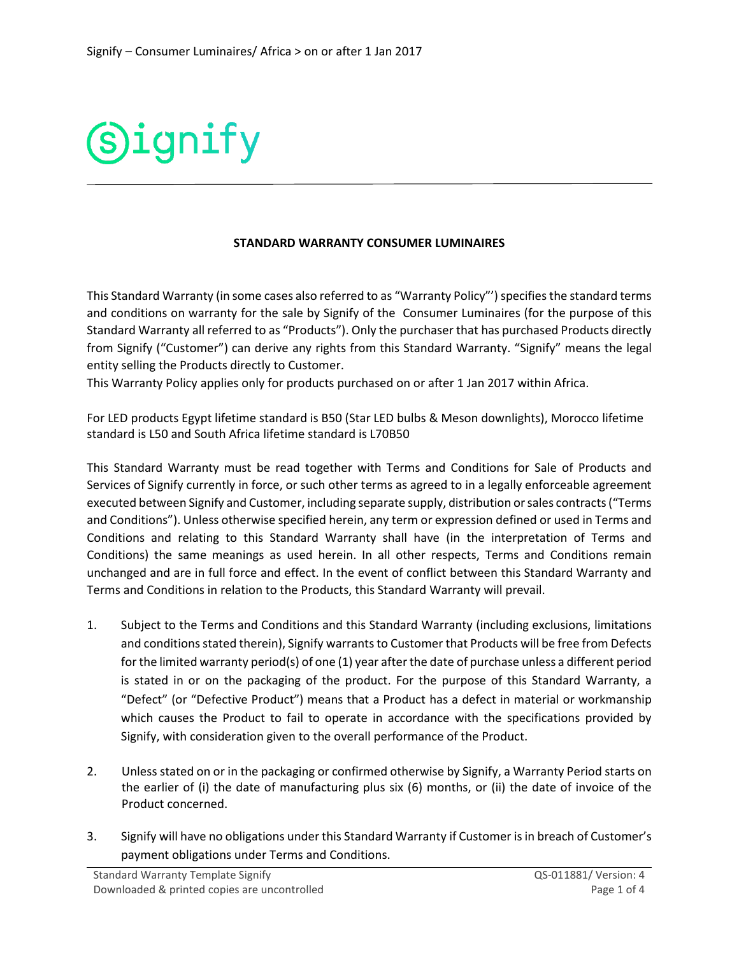

## **STANDARD WARRANTY CONSUMER LUMINAIRES**

This Standard Warranty (in some cases also referred to as "Warranty Policy"') specifies the standard terms and conditions on warranty for the sale by Signify of the Consumer Luminaires (for the purpose of this Standard Warranty all referred to as "Products"). Only the purchaser that has purchased Products directly from Signify ("Customer") can derive any rights from this Standard Warranty. "Signify" means the legal entity selling the Products directly to Customer.

This Warranty Policy applies only for products purchased on or after 1 Jan 2017 within Africa.

For LED products Egypt lifetime standard is B50 (Star LED bulbs & Meson downlights), Morocco lifetime standard is L50 and South Africa lifetime standard is L70B50

This Standard Warranty must be read together with Terms and Conditions for Sale of Products and Services of Signify currently in force, or such other terms as agreed to in a legally enforceable agreement executed between Signify and Customer, including separate supply, distribution or sales contracts ("Terms and Conditions"). Unless otherwise specified herein, any term or expression defined or used in Terms and Conditions and relating to this Standard Warranty shall have (in the interpretation of Terms and Conditions) the same meanings as used herein. In all other respects, Terms and Conditions remain unchanged and are in full force and effect. In the event of conflict between this Standard Warranty and Terms and Conditions in relation to the Products, this Standard Warranty will prevail.

- 1. Subject to the Terms and Conditions and this Standard Warranty (including exclusions, limitations and conditions stated therein), Signify warrants to Customer that Products will be free from Defects for the limited warranty period(s) of one (1) year after the date of purchase unless a different period is stated in or on the packaging of the product. For the purpose of this Standard Warranty, a "Defect" (or "Defective Product") means that a Product has a defect in material or workmanship which causes the Product to fail to operate in accordance with the specifications provided by Signify, with consideration given to the overall performance of the Product.
- 2. Unless stated on or in the packaging or confirmed otherwise by Signify, a Warranty Period starts on the earlier of (i) the date of manufacturing plus six (6) months, or (ii) the date of invoice of the Product concerned.
- 3. Signify will have no obligations under this Standard Warranty if Customer is in breach of Customer's payment obligations under Terms and Conditions.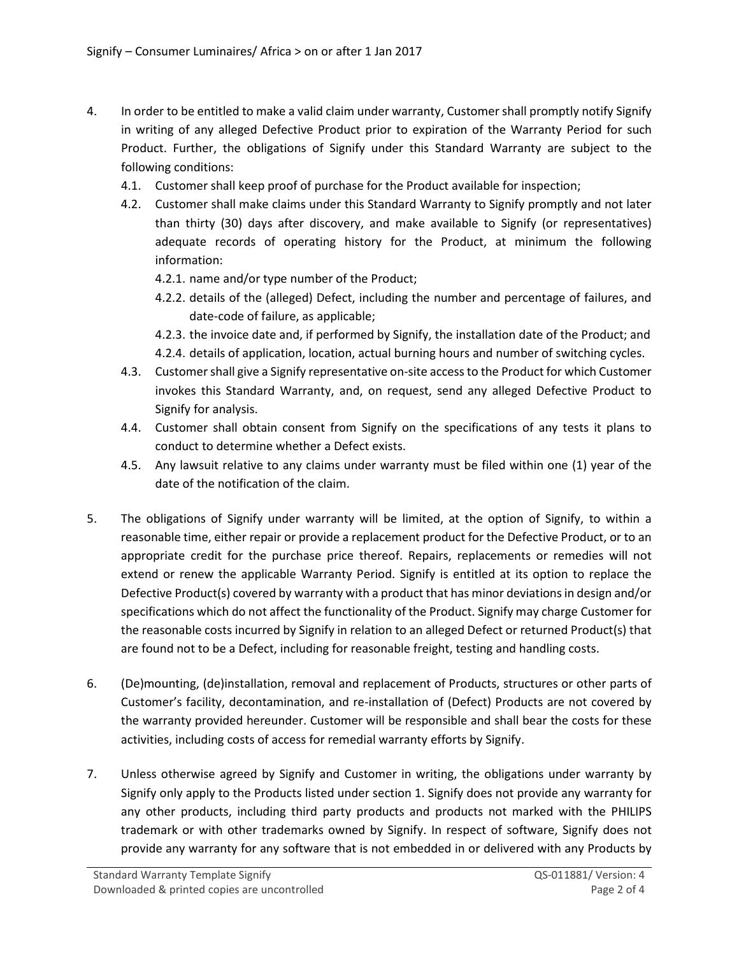- 4. In order to be entitled to make a valid claim under warranty, Customer shall promptly notify Signify in writing of any alleged Defective Product prior to expiration of the Warranty Period for such Product. Further, the obligations of Signify under this Standard Warranty are subject to the following conditions:
	- 4.1. Customer shall keep proof of purchase for the Product available for inspection;
	- 4.2. Customer shall make claims under this Standard Warranty to Signify promptly and not later than thirty (30) days after discovery, and make available to Signify (or representatives) adequate records of operating history for the Product, at minimum the following information:
		- 4.2.1. name and/or type number of the Product;
		- 4.2.2. details of the (alleged) Defect, including the number and percentage of failures, and date-code of failure, as applicable;
		- 4.2.3. the invoice date and, if performed by Signify, the installation date of the Product; and
		- 4.2.4. details of application, location, actual burning hours and number of switching cycles.
	- 4.3. Customer shall give a Signify representative on-site access to the Product for which Customer invokes this Standard Warranty, and, on request, send any alleged Defective Product to Signify for analysis.
	- 4.4. Customer shall obtain consent from Signify on the specifications of any tests it plans to conduct to determine whether a Defect exists.
	- 4.5. Any lawsuit relative to any claims under warranty must be filed within one (1) year of the date of the notification of the claim.
- 5. The obligations of Signify under warranty will be limited, at the option of Signify, to within a reasonable time, either repair or provide a replacement product for the Defective Product, or to an appropriate credit for the purchase price thereof. Repairs, replacements or remedies will not extend or renew the applicable Warranty Period. Signify is entitled at its option to replace the Defective Product(s) covered by warranty with a product that has minor deviations in design and/or specifications which do not affect the functionality of the Product. Signify may charge Customer for the reasonable costs incurred by Signify in relation to an alleged Defect or returned Product(s) that are found not to be a Defect, including for reasonable freight, testing and handling costs.
- 6. (De)mounting, (de)installation, removal and replacement of Products, structures or other parts of Customer's facility, decontamination, and re-installation of (Defect) Products are not covered by the warranty provided hereunder. Customer will be responsible and shall bear the costs for these activities, including costs of access for remedial warranty efforts by Signify.
- 7. Unless otherwise agreed by Signify and Customer in writing, the obligations under warranty by Signify only apply to the Products listed under section 1. Signify does not provide any warranty for any other products, including third party products and products not marked with the PHILIPS trademark or with other trademarks owned by Signify. In respect of software, Signify does not provide any warranty for any software that is not embedded in or delivered with any Products by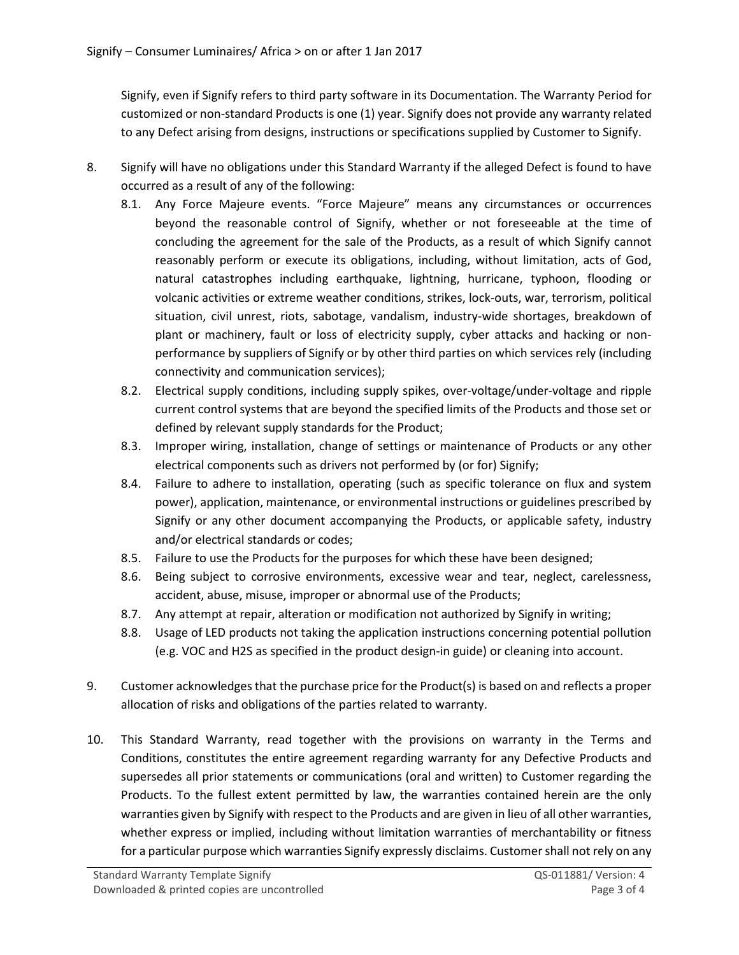Signify, even if Signify refers to third party software in its Documentation. The Warranty Period for customized or non-standard Products is one (1) year. Signify does not provide any warranty related to any Defect arising from designs, instructions or specifications supplied by Customer to Signify.

- 8. Signify will have no obligations under this Standard Warranty if the alleged Defect is found to have occurred as a result of any of the following:
	- 8.1. Any Force Majeure events. "Force Majeure" means any circumstances or occurrences beyond the reasonable control of Signify, whether or not foreseeable at the time of concluding the agreement for the sale of the Products, as a result of which Signify cannot reasonably perform or execute its obligations, including, without limitation, acts of God, natural catastrophes including earthquake, lightning, hurricane, typhoon, flooding or volcanic activities or extreme weather conditions, strikes, lock-outs, war, terrorism, political situation, civil unrest, riots, sabotage, vandalism, industry-wide shortages, breakdown of plant or machinery, fault or loss of electricity supply, cyber attacks and hacking or nonperformance by suppliers of Signify or by other third parties on which services rely (including connectivity and communication services);
	- 8.2. Electrical supply conditions, including supply spikes, over-voltage/under-voltage and ripple current control systems that are beyond the specified limits of the Products and those set or defined by relevant supply standards for the Product;
	- 8.3. Improper wiring, installation, change of settings or maintenance of Products or any other electrical components such as drivers not performed by (or for) Signify;
	- 8.4. Failure to adhere to installation, operating (such as specific tolerance on flux and system power), application, maintenance, or environmental instructions or guidelines prescribed by Signify or any other document accompanying the Products, or applicable safety, industry and/or electrical standards or codes;
	- 8.5. Failure to use the Products for the purposes for which these have been designed;
	- 8.6. Being subject to corrosive environments, excessive wear and tear, neglect, carelessness, accident, abuse, misuse, improper or abnormal use of the Products;
	- 8.7. Any attempt at repair, alteration or modification not authorized by Signify in writing;
	- 8.8. Usage of LED products not taking the application instructions concerning potential pollution (e.g. VOC and H2S as specified in the product design-in guide) or cleaning into account.
- 9. Customer acknowledges that the purchase price for the Product(s) is based on and reflects a proper allocation of risks and obligations of the parties related to warranty.
- 10. This Standard Warranty, read together with the provisions on warranty in the Terms and Conditions, constitutes the entire agreement regarding warranty for any Defective Products and supersedes all prior statements or communications (oral and written) to Customer regarding the Products. To the fullest extent permitted by law, the warranties contained herein are the only warranties given by Signify with respect to the Products and are given in lieu of all other warranties, whether express or implied, including without limitation warranties of merchantability or fitness for a particular purpose which warranties Signify expressly disclaims. Customer shall not rely on any